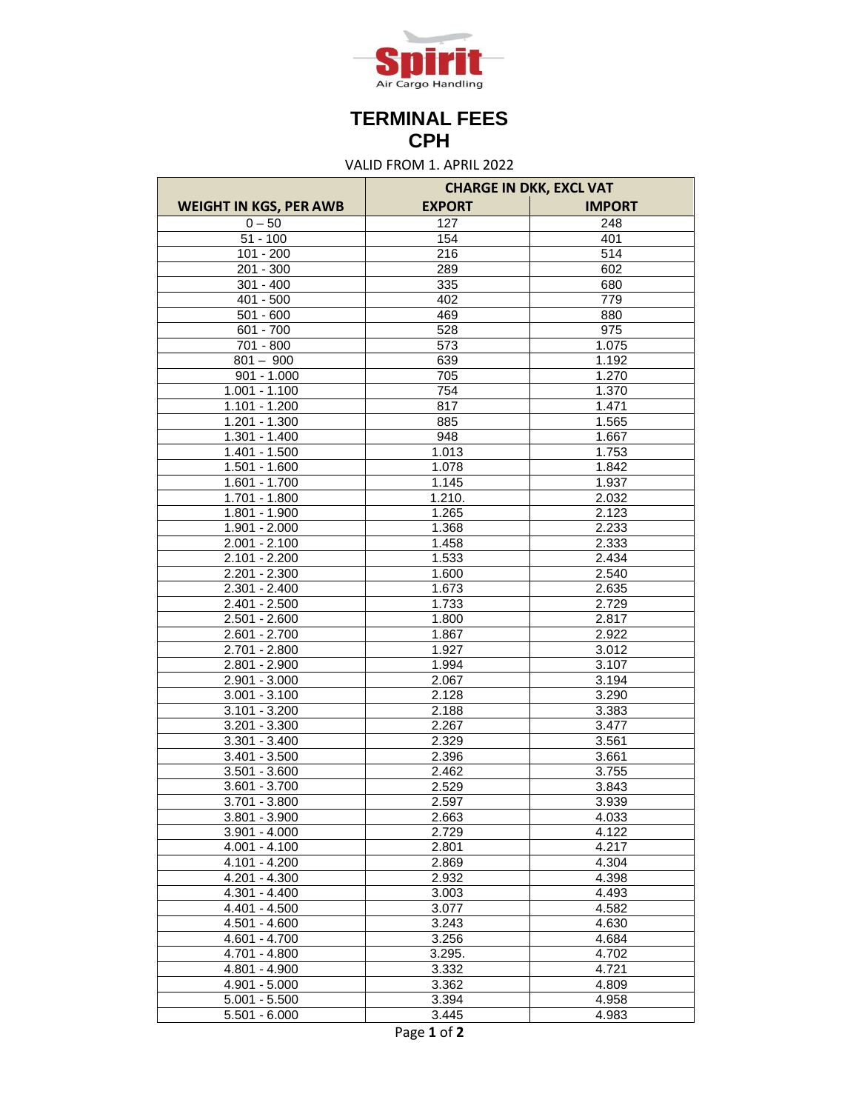

## **TERMINAL FEES CPH**

VALID FROM 1. APRIL 2022

|                                    | <b>CHARGE IN DKK, EXCL VAT</b> |                |
|------------------------------------|--------------------------------|----------------|
| <b>WEIGHT IN KGS, PER AWB</b>      | <b>EXPORT</b>                  | <b>IMPORT</b>  |
| $0 - 50$                           | 127                            | 248            |
| $51 - 100$                         | 154                            | 401            |
| $101 - 200$                        | $\overline{216}$               | 514            |
| 201 - 300                          | 289                            | 602            |
| $301 - 400$                        | 335                            | 680            |
| 401 - 500                          | 402                            | 779            |
| $501 - 600$                        | 469                            | 880            |
| 601 - 700                          | $\overline{528}$               | 975            |
| 701 - 800                          | 573                            | 1.075          |
| $801 - 900$                        | 639                            | 1.192          |
| $901 - 1.000$                      | 705                            | 1.270          |
| $1.001 - 1.100$                    | 754                            | 1.370          |
| $1.101 - 1.200$                    | 817                            | 1.471          |
| $1.201 - 1.300$                    | 885                            | 1.565          |
| $1.301 - 1.400$                    | 948                            | 1.667          |
| $1.401 - 1.500$                    | 1.013                          | 1.753          |
| $1.501 - 1.600$                    | 1.078                          | 1.842          |
| 1.601 - 1.700                      | 1.145                          | 1.937          |
| $1.701 - 1.800$                    | 1.210.                         | 2.032          |
| 1.801 - 1.900                      | 1.265                          | 2.123          |
| $1.901 - 2.000$                    | 1.368                          | 2.233          |
| $2.001 - 2.100$                    | 1.458                          | 2.333          |
| 2.101 - 2.200                      | 1.533                          | 2.434          |
| $2.201 - 2.300$                    | 1.600                          | 2.540          |
| $2.301 - 2.400$                    | 1.673                          | 2.635          |
| $2.401 - 2.500$                    | 1.733                          | 2.729          |
| $2.501 - 2.600$                    | 1.800                          | 2.817          |
| 2.601 - 2.700                      | 1.867                          | 2.922          |
| $2.701 - 2.800$                    | 1.927                          | 3.012          |
| $2.801 - 2.900$                    | 1.994                          | 3.107          |
| 2.901 - 3.000                      | 2.067                          | 3.194          |
| $3.001 - 3.100$                    | 2.128                          | 3.290          |
| $3.101 - 3.200$                    | 2.188                          | 3.383          |
| $3.201 - 3.300$                    | 2.267                          | 3.477          |
| $3.301 - 3.400$                    | 2.329                          | 3.561          |
| $3.401 - 3.500$                    | 2.396                          | 3.661          |
| $3.501 - 3.600$                    | 2.462                          | 3.755          |
| $3.601 - 3.700$                    | 2.529                          | 3.843          |
| $3.701 - 3.800$                    | 2.597                          | 3.939          |
| $3.801 - 3.900$                    | 2.663                          | 4.033          |
| $3.901 - 4.000$                    | 2.729                          | 4.122          |
| $4.001 - 4.100$                    | 2.801                          | 4.217          |
| $4.101 - 4.200$                    | 2.869                          | 4.304          |
| $4.201 - 4.300$                    | 2.932                          | 4.398          |
| $4.301 - 4.400$                    | 3.003                          | 4.493          |
| $4.401 - 4.500$<br>$4.501 - 4.600$ | 3.077<br>3.243                 | 4.582<br>4.630 |
| $4.601 - 4.700$                    |                                |                |
| 4.701 - 4.800                      | 3.256<br>3.295.                | 4.684<br>4.702 |
| $4.801 - 4.900$                    | 3.332                          | 4.721          |
| $4.901 - 5.000$                    | 3.362                          | 4.809          |
| $5.001 - 5.500$                    | 3.394                          | 4.958          |
| $5.501 - 6.000$                    | 3.445                          | 4.983          |
|                                    |                                |                |